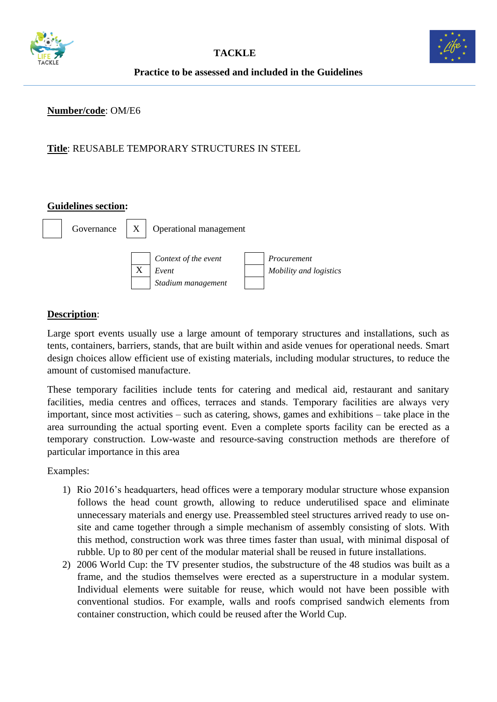



#### **Number/code**: OM/E6

## **Title**: REUSABLE TEMPORARY STRUCTURES IN STEEL

#### **Guidelines section:**



### **Description**:

Large sport events usually use a large amount of temporary structures and installations, such as tents, containers, barriers, stands, that are built within and aside venues for operational needs. Smart design choices allow efficient use of existing materials, including modular structures, to reduce the amount of customised manufacture.

These temporary facilities include tents for catering and medical aid, restaurant and sanitary facilities, media centres and offices, terraces and stands. Temporary facilities are always very important, since most activities – such as catering, shows, games and exhibitions – take place in the area surrounding the actual sporting event. Even a complete sports facility can be erected as a temporary construction. Low-waste and resource-saving construction methods are therefore of particular importance in this area

Examples:

- 1) Rio 2016's headquarters, head offices were a temporary modular structure whose expansion follows the head count growth, allowing to reduce underutilised space and eliminate unnecessary materials and energy use. Preassembled steel structures arrived ready to use onsite and came together through a simple mechanism of assembly consisting of slots. With this method, construction work was three times faster than usual, with minimal disposal of rubble. Up to 80 per cent of the modular material shall be reused in future installations.
- 2) 2006 World Cup: the TV presenter studios, the substructure of the 48 studios was built as a frame, and the studios themselves were erected as a superstructure in a modular system. Individual elements were suitable for reuse, which would not have been possible with conventional studios. For example, walls and roofs comprised sandwich elements from container construction, which could be reused after the World Cup.